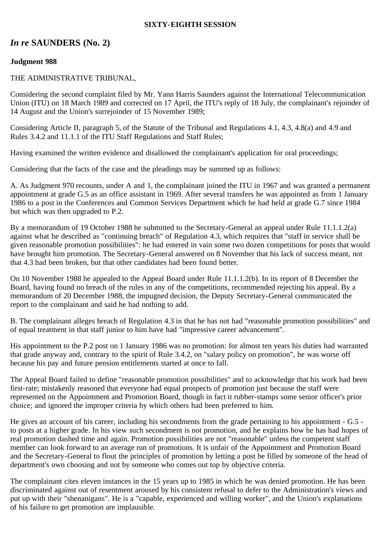## **SIXTY-EIGHTH SESSION**

# *In re* **SAUNDERS (No. 2)**

## **Judgment 988**

#### THE ADMINISTRATIVE TRIBUNAL,

Considering the second complaint filed by Mr. Yann Harris Saunders against the International Telecommunication Union (ITU) on 18 March 1989 and corrected on 17 April, the ITU's reply of 18 July, the complainant's rejoinder of 14 August and the Union's surrejoinder of 15 November 1989;

Considering Article II, paragraph 5, of the Statute of the Tribunal and Regulations 4.1, 4.3, 4.8(a) and 4.9 and Rules 3.4.2 and 11.1.1 of the ITU Staff Regulations and Staff Rules;

Having examined the written evidence and disallowed the complainant's application for oral proceedings;

Considering that the facts of the case and the pleadings may be summed up as follows:

A. As Judgment 970 recounts, under A and 1, the complainant joined the ITU in 1967 and was granted a permanent appointment at grade G.5 as an office assistant in 1969. After several transfers he was appointed as from 1 January 1986 to a post in the Conferences and Common Services Department which he had held at grade G.7 since 1984 but which was then upgraded to P.2.

By a memorandum of 19 October 1988 he submitted to the Secretary-General an appeal under Rule 11.1.1.2(a) against what he described as "continuing breach" of Regulation 4.3, which requires that "staff in service shall be given reasonable promotion possibilities": he had entered in vain some two dozen competitions for posts that would have brought him promotion. The Secretary-General answered on 8 November that his lack of success meant, not that 4.3 had been broken, but that other candidates had been found better.

On 10 November 1988 he appealed to the Appeal Board under Rule 11.1.1.2(b). In its report of 8 December the Board, having found no breach of the rules in any of the competitions, recommended rejecting his appeal. By a memorandum of 20 December 1988, the impugned decision, the Deputy Secretary-General communicated the report to the complainant and said he had nothing to add.

B. The complainant alleges breach of Regulation 4.3 in that he has not had "reasonable promotion possibilities" and of equal treatment in that staff junior to him have had "impressive career advancement".

His appointment to the P.2 post on 1 January 1986 was no promotion: for almost ten years his duties had warranted that grade anyway and, contrary to the spirit of Rule 3.4.2, on "salary policy on promotion", he was worse off because his pay and future pension entitlements started at once to fall.

The Appeal Board failed to define "reasonable promotion possibilities" and to acknowledge that his work had been first-rate; mistakenly reasoned that everyone had equal prospects of promotion just because the staff were represented on the Appointment and Promotion Board, though in fact it rubber-stamps some senior officer's prior choice; and ignored the improper criteria by which others had been preferred to him.

He gives an account of his career, including his secondments from the grade pertaining to his appointment - G.5 to posts at a higher grade. In his view such secondment is not promotion, and he explains how he has had hopes of real promotion dashed time and again. Promotion possibilities are not "reasonable" unless the competent staff member can look forward to an average run of promotions. It is unfair of the Appointment and Promotion Board and the Secretary-General to flout the principles of promotion by letting a post be filled by someone of the head of department's own choosing and not by someone who comes out top by objective criteria.

The complainant cites eleven instances in the 15 years up to 1985 in which he was denied promotion. He has been discriminated against out of resentment aroused by his consistent refusal to defer to the Administration's views and put up with their "shenanigans". He is a "capable, experienced and willing worker", and the Union's explanations of his failure to get promotion are implausible.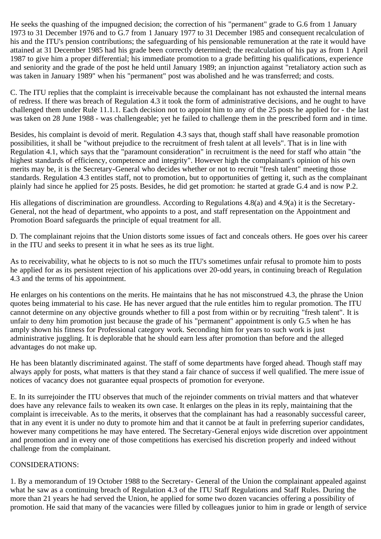He seeks the quashing of the impugned decision; the correction of his "permanent" grade to G.6 from 1 January 1973 to 31 December 1976 and to G.7 from 1 January 1977 to 31 December 1985 and consequent recalculation of his and the ITU's pension contributions; the safeguarding of his pensionable remuneration at the rate it would have attained at 31 December 1985 had his grade been correctly determined; the recalculation of his pay as from 1 April 1987 to give him a proper differential; his immediate promotion to a grade befitting his qualifications, experience and seniority and the grade of the post he held until January 1989; an injunction against "retaliatory action such as was taken in January 1989" when his "permanent" post was abolished and he was transferred; and costs.

C. The ITU replies that the complaint is irreceivable because the complainant has not exhausted the internal means of redress. If there was breach of Regulation 4.3 it took the form of administrative decisions, and he ought to have challenged them under Rule 11.1.1. Each decision not to appoint him to any of the 25 posts he applied for - the last was taken on 28 June 1988 - was challengeable; yet he failed to challenge them in the prescribed form and in time.

Besides, his complaint is devoid of merit. Regulation 4.3 says that, though staff shall have reasonable promotion possibilities, it shall be "without prejudice to the recruitment of fresh talent at all levels". That is in line with Regulation 4.1, which says that the "paramount consideration" in recruitment is the need for staff who attain "the highest standards of efficiency, competence and integrity". However high the complainant's opinion of his own merits may be, it is the Secretary-General who decides whether or not to recruit "fresh talent" meeting those standards. Regulation 4.3 entitles staff, not to promotion, but to opportunities of getting it, such as the complainant plainly had since he applied for 25 posts. Besides, he did get promotion: he started at grade G.4 and is now P.2.

His allegations of discrimination are groundless. According to Regulations 4.8(a) and 4.9(a) it is the Secretary-General, not the head of department, who appoints to a post, and staff representation on the Appointment and Promotion Board safeguards the principle of equal treatment for all.

D. The complainant rejoins that the Union distorts some issues of fact and conceals others. He goes over his career in the ITU and seeks to present it in what he sees as its true light.

As to receivability, what he objects to is not so much the ITU's sometimes unfair refusal to promote him to posts he applied for as its persistent rejection of his applications over 20-odd years, in continuing breach of Regulation 4.3 and the terms of his appointment.

He enlarges on his contentions on the merits. He maintains that he has not misconstrued 4.3, the phrase the Union quotes being immaterial to his case. He has never argued that the rule entitles him to regular promotion. The ITU cannot determine on any objective grounds whether to fill a post from within or by recruiting "fresh talent". It is unfair to deny him promotion just because the grade of his "permanent" appointment is only G.5 when he has amply shown his fitness for Professional category work. Seconding him for years to such work is just administrative juggling. It is deplorable that he should earn less after promotion than before and the alleged advantages do not make up.

He has been blatantly discriminated against. The staff of some departments have forged ahead. Though staff may always apply for posts, what matters is that they stand a fair chance of success if well qualified. The mere issue of notices of vacancy does not guarantee equal prospects of promotion for everyone.

E. In its surrejoinder the ITU observes that much of the rejoinder comments on trivial matters and that whatever does have any relevance fails to weaken its own case. It enlarges on the pleas in its reply, maintaining that the complaint is irreceivable. As to the merits, it observes that the complainant has had a reasonably successful career, that in any event it is under no duty to promote him and that it cannot be at fault in preferring superior candidates, however many competitions he may have entered. The Secretary-General enjoys wide discretion over appointment and promotion and in every one of those competitions has exercised his discretion properly and indeed without challenge from the complainant.

#### CONSIDERATIONS:

1. By a memorandum of 19 October 1988 to the Secretary- General of the Union the complainant appealed against what he saw as a continuing breach of Regulation 4.3 of the ITU Staff Regulations and Staff Rules. During the more than 21 years he had served the Union, he applied for some two dozen vacancies offering a possibility of promotion. He said that many of the vacancies were filled by colleagues junior to him in grade or length of service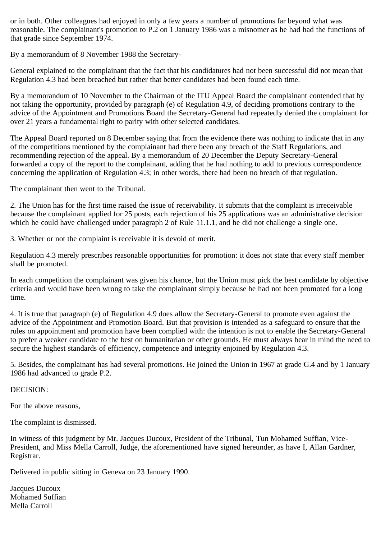or in both. Other colleagues had enjoyed in only a few years a number of promotions far beyond what was reasonable. The complainant's promotion to P.2 on 1 January 1986 was a misnomer as he had had the functions of that grade since September 1974.

By a memorandum of 8 November 1988 the Secretary-

General explained to the complainant that the fact that his candidatures had not been successful did not mean that Regulation 4.3 had been breached but rather that better candidates had been found each time.

By a memorandum of 10 November to the Chairman of the ITU Appeal Board the complainant contended that by not taking the opportunity, provided by paragraph (e) of Regulation 4.9, of deciding promotions contrary to the advice of the Appointment and Promotions Board the Secretary-General had repeatedly denied the complainant for over 21 years a fundamental right to parity with other selected candidates.

The Appeal Board reported on 8 December saying that from the evidence there was nothing to indicate that in any of the competitions mentioned by the complainant had there been any breach of the Staff Regulations, and recommending rejection of the appeal. By a memorandum of 20 December the Deputy Secretary-General forwarded a copy of the report to the complainant, adding that he had nothing to add to previous correspondence concerning the application of Regulation 4.3; in other words, there had been no breach of that regulation.

The complainant then went to the Tribunal.

2. The Union has for the first time raised the issue of receivability. It submits that the complaint is irreceivable because the complainant applied for 25 posts, each rejection of his 25 applications was an administrative decision which he could have challenged under paragraph 2 of Rule 11.1.1, and he did not challenge a single one.

3. Whether or not the complaint is receivable it is devoid of merit.

Regulation 4.3 merely prescribes reasonable opportunities for promotion: it does not state that every staff member shall be promoted.

In each competition the complainant was given his chance, but the Union must pick the best candidate by objective criteria and would have been wrong to take the complainant simply because he had not been promoted for a long time.

4. It is true that paragraph (e) of Regulation 4.9 does allow the Secretary-General to promote even against the advice of the Appointment and Promotion Board. But that provision is intended as a safeguard to ensure that the rules on appointment and promotion have been complied with: the intention is not to enable the Secretary-General to prefer a weaker candidate to the best on humanitarian or other grounds. He must always bear in mind the need to secure the highest standards of efficiency, competence and integrity enjoined by Regulation 4.3.

5. Besides, the complainant has had several promotions. He joined the Union in 1967 at grade G.4 and by 1 January 1986 had advanced to grade P.2.

## DECISION:

For the above reasons,

The complaint is dismissed.

In witness of this judgment by Mr. Jacques Ducoux, President of the Tribunal, Tun Mohamed Suffian, Vice-President, and Miss Mella Carroll, Judge, the aforementioned have signed hereunder, as have I, Allan Gardner, Registrar.

Delivered in public sitting in Geneva on 23 January 1990.

Jacques Ducoux Mohamed Suffian Mella Carroll